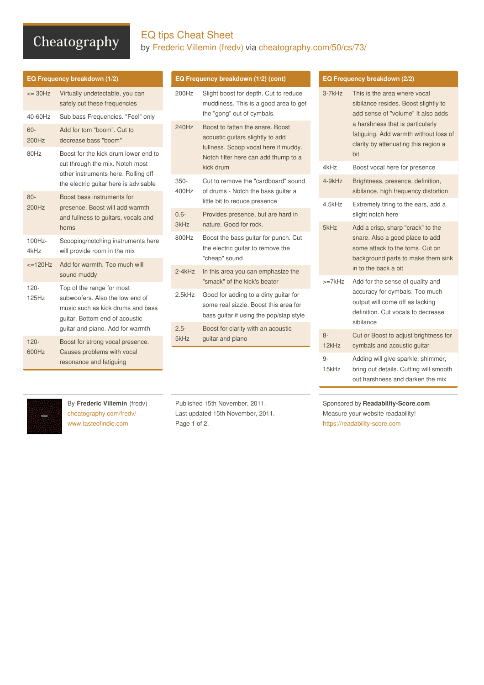# Cheatography

## EQ tips Cheat Sheet by [Frederic](http://www.cheatography.com/fredv/) Villemin (fredv) via [cheatography.com/50/cs/73/](http://www.cheatography.com/fredv/cheat-sheets/eq-tips)

| EQ Frequency breakdown (1/2) |                                                                                                                                                                         |  |
|------------------------------|-------------------------------------------------------------------------------------------------------------------------------------------------------------------------|--|
| $\epsilon$ = 30Hz            | Virtually undetectable, you can<br>safely cut these frequencies                                                                                                         |  |
| 40-60Hz                      | Sub bass Frequencies. "Feel" only                                                                                                                                       |  |
| $60 -$<br>200Hz              | Add for tom "boom". Cut to<br>decrease bass "boom"                                                                                                                      |  |
| 80Hz                         | Boost for the kick drum lower end to<br>cut through the mix. Notch most<br>other instruments here. Rolling off<br>the electric guitar here is advisable                 |  |
| $80 -$<br>200Hz              | Boost bass instruments for<br>presence. Boost will add warmth<br>and fullness to guitars, vocals and<br>horns                                                           |  |
| $100Hz -$<br>4kHz            | Scooping/notching instruments here<br>will provide room in the mix                                                                                                      |  |
| $\leq$ =120Hz                | Add for warmth. Too much will<br>sound muddy                                                                                                                            |  |
| $120 -$<br>125Hz             | Top of the range for most<br>subwoofers. Also the low end of<br>music such as kick drums and bass<br>quitar. Bottom end of acoustic<br>guitar and piano. Add for warmth |  |
| $120 -$<br>600Hz             | Boost for strong vocal presence.<br>Causes problems with vocal<br>resonance and fatiguing                                                                               |  |

### **EQ Frequency breakdown (1/2) (cont)**

| 200Hz            | Slight boost for depth. Cut to reduce<br>muddiness. This is a good area to get<br>the "gong" out of cymbals.                                                      |
|------------------|-------------------------------------------------------------------------------------------------------------------------------------------------------------------|
| 240Hz            | Boost to fatten the snare. Boost<br>acoustic guitars slightly to add<br>fullness. Scoop vocal here if muddy.<br>Notch filter here can add thump to a<br>kick drum |
| $350 -$<br>400Hz | Cut to remove the "cardboard" sound<br>of drums - Notch the bass guitar a<br>little bit to reduce presence                                                        |
| $0.6 -$<br>3kHz  | Provides presence, but are hard in<br>nature. Good for rock.                                                                                                      |
| 800Hz            | Boost the bass guitar for punch. Cut<br>the electric guitar to remove the<br>"cheap" sound                                                                        |
| $2-4kHz$         | In this area you can emphasize the<br>"smack" of the kick's beater                                                                                                |
| 2.5kHz           | Good for adding to a dirty guitar for<br>some real sizzle. Boost this area for<br>bass guitar if using the pop/slap style                                         |
| $2.5 -$<br>5kHz  | Boost for clarity with an acoustic<br>guitar and piano                                                                                                            |
|                  |                                                                                                                                                                   |

### **EQ Frequency breakdown (2/2)**

| $3-7kHz$      | This is the area where vocal<br>sibilance resides. Boost slightly to<br>add sense of "volume" It also adds<br>a harshness that is particularly<br>fatiguing. Add warmth without loss of<br>clarity by attenuating this region a<br>bit |
|---------------|----------------------------------------------------------------------------------------------------------------------------------------------------------------------------------------------------------------------------------------|
| 4kHz          | Boost vocal here for presence                                                                                                                                                                                                          |
| 4-9kHz        | Brightness, presence, definition,<br>sibilance, high frequency distortion                                                                                                                                                              |
| 4.5kHz        | Extremely tiring to the ears, add a<br>slight notch here                                                                                                                                                                               |
| 5kHz          | Add a crisp, sharp "crack" to the<br>snare. Also a good place to add<br>some attack to the toms. Cut on<br>background parts to make them sink<br>in to the back a bit                                                                  |
| $>=7kHz$      | Add for the sense of quality and<br>accuracy for cymbals. Too much<br>output will come off as lacking<br>definition. Cut vocals to decrease<br>sibilance                                                                               |
| $8-$<br>12kHz | Cut or Boost to adjust brightness for<br>cymbals and acoustic guitar                                                                                                                                                                   |
| 9-<br>15kHz   | Adding will give sparkle, shimmer,<br>bring out details. Cutting will smooth<br>out harshness and darken the mix                                                                                                                       |

By **Frederic Villemin** (fredv) [cheatography.com/fredv/](http://www.cheatography.com/fredv/) [www.tasteofindie.com](http://www.tasteofindie.com)

Published 15th November, 2011. Last updated 15th November, 2011. Page 1 of 2.

Sponsored by **Readability-Score.com** Measure your website readability! <https://readability-score.com>